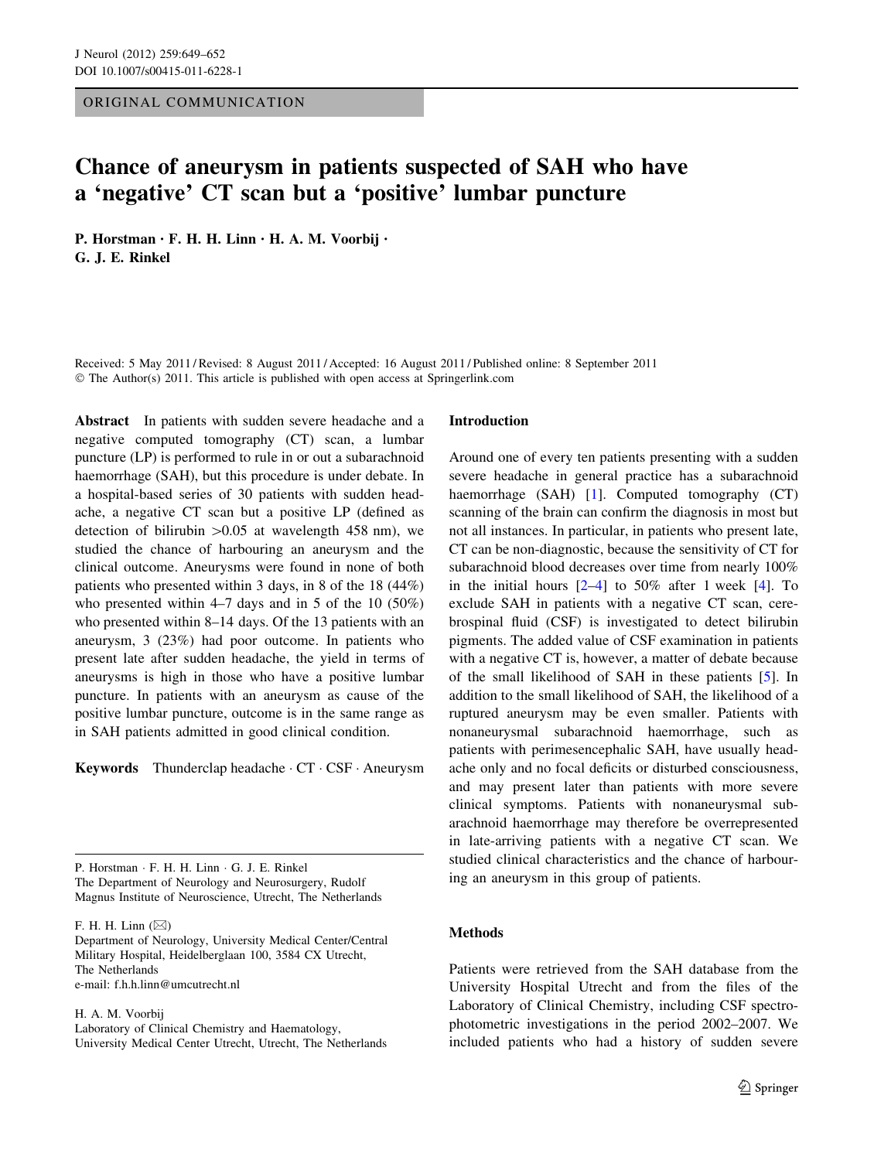### ORIGINAL COMMUNICATION

# Chance of aneurysm in patients suspected of SAH who have a 'negative' CT scan but a 'positive' lumbar puncture

P. Horstman • F. H. H. Linn • H. A. M. Voorbij • G. J. E. Rinkel

Received: 5 May 2011 / Revised: 8 August 2011 / Accepted: 16 August 2011 / Published online: 8 September 2011 © The Author(s) 2011. This article is published with open access at Springerlink.com

Abstract In patients with sudden severe headache and a negative computed tomography (CT) scan, a lumbar puncture (LP) is performed to rule in or out a subarachnoid haemorrhage (SAH), but this procedure is under debate. In a hospital-based series of 30 patients with sudden headache, a negative CT scan but a positive LP (defined as detection of bilirubin  $>0.05$  at wavelength 458 nm), we studied the chance of harbouring an aneurysm and the clinical outcome. Aneurysms were found in none of both patients who presented within 3 days, in 8 of the 18 (44%) who presented within 4–7 days and in 5 of the 10 (50%) who presented within 8–14 days. Of the 13 patients with an aneurysm, 3 (23%) had poor outcome. In patients who present late after sudden headache, the yield in terms of aneurysms is high in those who have a positive lumbar puncture. In patients with an aneurysm as cause of the positive lumbar puncture, outcome is in the same range as in SAH patients admitted in good clinical condition.

Keywords Thunderclap headache · CT · CSF · Aneurysm

P. Horstman - F. H. H. Linn - G. J. E. Rinkel The Department of Neurology and Neurosurgery, Rudolf Magnus Institute of Neuroscience, Utrecht, The Netherlands

F. H. H. Linn  $(\boxtimes)$ 

Department of Neurology, University Medical Center/Central Military Hospital, Heidelberglaan 100, 3584 CX Utrecht, The Netherlands e-mail: f.h.h.linn@umcutrecht.nl

H. A. M. Voorbij

Laboratory of Clinical Chemistry and Haematology, University Medical Center Utrecht, Utrecht, The Netherlands

#### Introduction

Around one of every ten patients presenting with a sudden severe headache in general practice has a subarachnoid haemorrhage (SAH) [[1\]](#page-2-0). Computed tomography (CT) scanning of the brain can confirm the diagnosis in most but not all instances. In particular, in patients who present late, CT can be non-diagnostic, because the sensitivity of CT for subarachnoid blood decreases over time from nearly 100% in the initial hours  $[2-4]$  to 50% after 1 week  $[4]$  $[4]$ . To exclude SAH in patients with a negative CT scan, cerebrospinal fluid (CSF) is investigated to detect bilirubin pigments. The added value of CSF examination in patients with a negative CT is, however, a matter of debate because of the small likelihood of SAH in these patients [[5\]](#page-2-0). In addition to the small likelihood of SAH, the likelihood of a ruptured aneurysm may be even smaller. Patients with nonaneurysmal subarachnoid haemorrhage, such as patients with perimesencephalic SAH, have usually headache only and no focal deficits or disturbed consciousness, and may present later than patients with more severe clinical symptoms. Patients with nonaneurysmal subarachnoid haemorrhage may therefore be overrepresented in late-arriving patients with a negative CT scan. We studied clinical characteristics and the chance of harbouring an aneurysm in this group of patients.

## Methods

Patients were retrieved from the SAH database from the University Hospital Utrecht and from the files of the Laboratory of Clinical Chemistry, including CSF spectrophotometric investigations in the period 2002–2007. We included patients who had a history of sudden severe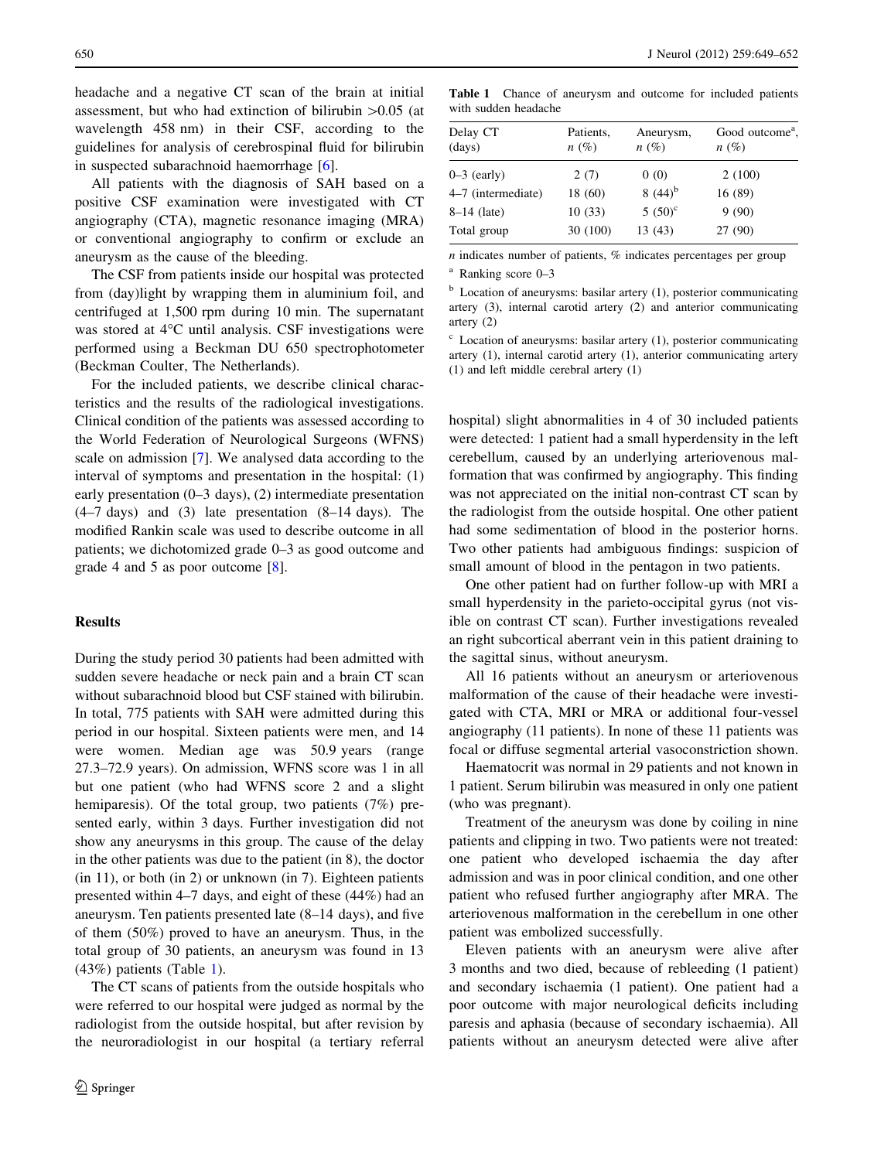<span id="page-1-0"></span>headache and a negative CT scan of the brain at initial assessment, but who had extinction of bilirubin  $>0.05$  (at wavelength 458 nm) in their CSF, according to the guidelines for analysis of cerebrospinal fluid for bilirubin in suspected subarachnoid haemorrhage [[6\]](#page-2-0).

All patients with the diagnosis of SAH based on a positive CSF examination were investigated with CT angiography (CTA), magnetic resonance imaging (MRA) or conventional angiography to confirm or exclude an aneurysm as the cause of the bleeding.

The CSF from patients inside our hospital was protected from (day)light by wrapping them in aluminium foil, and centrifuged at 1,500 rpm during 10 min. The supernatant was stored at 4°C until analysis. CSF investigations were performed using a Beckman DU 650 spectrophotometer (Beckman Coulter, The Netherlands).

For the included patients, we describe clinical characteristics and the results of the radiological investigations. Clinical condition of the patients was assessed according to the World Federation of Neurological Surgeons (WFNS) scale on admission [\[7](#page-2-0)]. We analysed data according to the interval of symptoms and presentation in the hospital: (1) early presentation (0–3 days), (2) intermediate presentation (4–7 days) and (3) late presentation (8–14 days). The modified Rankin scale was used to describe outcome in all patients; we dichotomized grade 0–3 as good outcome and grade 4 and 5 as poor outcome [\[8](#page-3-0)].

#### **Results**

During the study period 30 patients had been admitted with sudden severe headache or neck pain and a brain CT scan without subarachnoid blood but CSF stained with bilirubin. In total, 775 patients with SAH were admitted during this period in our hospital. Sixteen patients were men, and 14 were women. Median age was 50.9 years (range 27.3–72.9 years). On admission, WFNS score was 1 in all but one patient (who had WFNS score 2 and a slight hemiparesis). Of the total group, two patients (7%) presented early, within 3 days. Further investigation did not show any aneurysms in this group. The cause of the delay in the other patients was due to the patient (in 8), the doctor (in 11), or both (in 2) or unknown (in 7). Eighteen patients presented within 4–7 days, and eight of these (44%) had an aneurysm. Ten patients presented late (8–14 days), and five of them (50%) proved to have an aneurysm. Thus, in the total group of 30 patients, an aneurysm was found in 13 (43%) patients (Table 1).

The CT scans of patients from the outside hospitals who were referred to our hospital were judged as normal by the radiologist from the outside hospital, but after revision by the neuroradiologist in our hospital (a tertiary referral

Table 1 Chance of aneurysm and outcome for included patients with sudden headache

| Patients.<br>$n(\%)$ | Aneurysm,<br>$n(\%)$ | Good outcome <sup>a</sup> ,<br>$n(\%)$ |
|----------------------|----------------------|----------------------------------------|
| 2(7)                 | 0(0)                 | 2(100)                                 |
| 18 (60)              | $8(44)^{b}$          | 16(89)                                 |
| 10(33)               | $5(50)^{\circ}$      | 9(90)                                  |
| 30 (100)             | 13 (43)              | 27 (90)                                |
|                      |                      |                                        |

n indicates number of patients, % indicates percentages per group

<sup>a</sup> Ranking score 0–3

 $<sup>b</sup>$  Location of aneurysms: basilar artery (1), posterior communicating</sup> artery (3), internal carotid artery (2) and anterior communicating artery (2)

Location of aneurysms: basilar artery (1), posterior communicating artery (1), internal carotid artery (1), anterior communicating artery (1) and left middle cerebral artery (1)

hospital) slight abnormalities in 4 of 30 included patients were detected: 1 patient had a small hyperdensity in the left cerebellum, caused by an underlying arteriovenous malformation that was confirmed by angiography. This finding was not appreciated on the initial non-contrast CT scan by the radiologist from the outside hospital. One other patient had some sedimentation of blood in the posterior horns. Two other patients had ambiguous findings: suspicion of small amount of blood in the pentagon in two patients.

One other patient had on further follow-up with MRI a small hyperdensity in the parieto-occipital gyrus (not visible on contrast CT scan). Further investigations revealed an right subcortical aberrant vein in this patient draining to the sagittal sinus, without aneurysm.

All 16 patients without an aneurysm or arteriovenous malformation of the cause of their headache were investigated with CTA, MRI or MRA or additional four-vessel angiography (11 patients). In none of these 11 patients was focal or diffuse segmental arterial vasoconstriction shown.

Haematocrit was normal in 29 patients and not known in 1 patient. Serum bilirubin was measured in only one patient (who was pregnant).

Treatment of the aneurysm was done by coiling in nine patients and clipping in two. Two patients were not treated: one patient who developed ischaemia the day after admission and was in poor clinical condition, and one other patient who refused further angiography after MRA. The arteriovenous malformation in the cerebellum in one other patient was embolized successfully.

Eleven patients with an aneurysm were alive after 3 months and two died, because of rebleeding (1 patient) and secondary ischaemia (1 patient). One patient had a poor outcome with major neurological deficits including paresis and aphasia (because of secondary ischaemia). All patients without an aneurysm detected were alive after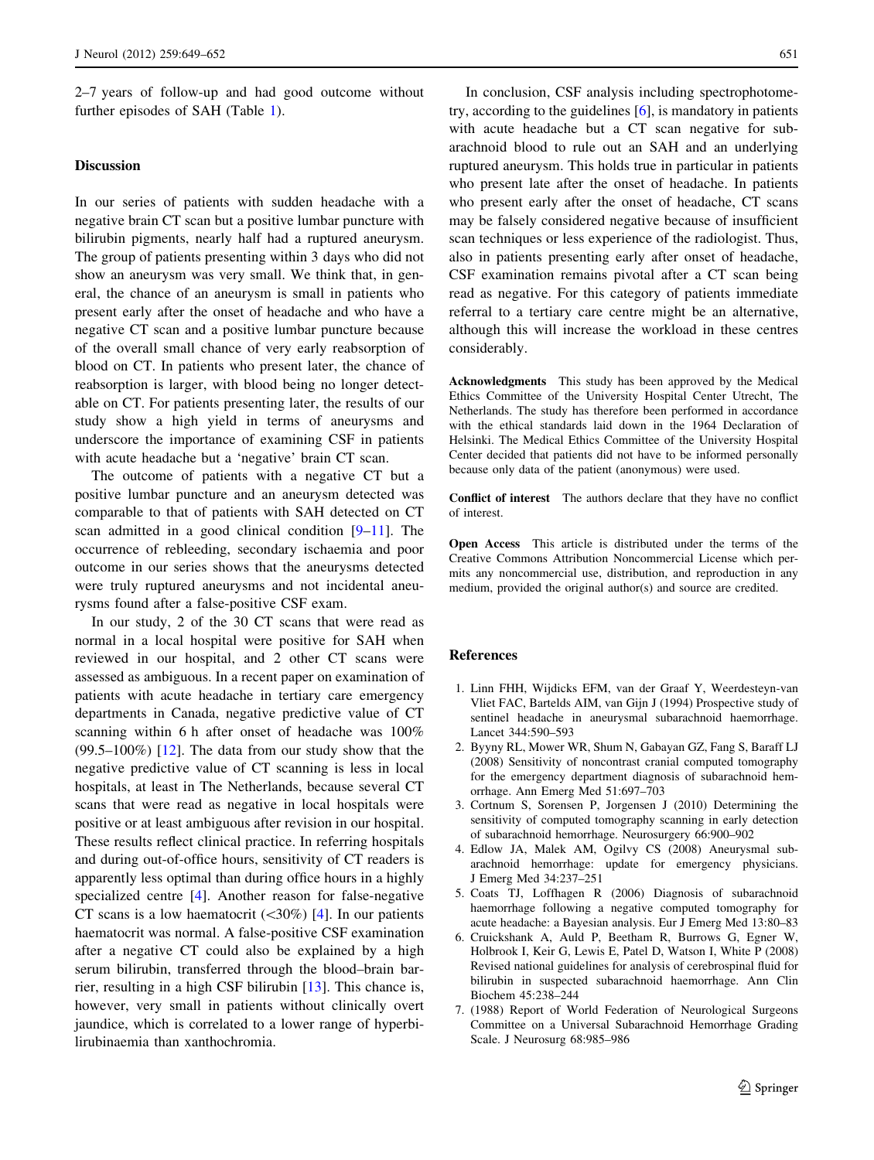<span id="page-2-0"></span>2–7 years of follow-up and had good outcome without further episodes of SAH (Table [1\)](#page-1-0).

## **Discussion**

In our series of patients with sudden headache with a negative brain CT scan but a positive lumbar puncture with bilirubin pigments, nearly half had a ruptured aneurysm. The group of patients presenting within 3 days who did not show an aneurysm was very small. We think that, in general, the chance of an aneurysm is small in patients who present early after the onset of headache and who have a negative CT scan and a positive lumbar puncture because of the overall small chance of very early reabsorption of blood on CT. In patients who present later, the chance of reabsorption is larger, with blood being no longer detectable on CT. For patients presenting later, the results of our study show a high yield in terms of aneurysms and underscore the importance of examining CSF in patients with acute headache but a 'negative' brain CT scan.

The outcome of patients with a negative CT but a positive lumbar puncture and an aneurysm detected was comparable to that of patients with SAH detected on CT scan admitted in a good clinical condition [[9–11\]](#page-3-0). The occurrence of rebleeding, secondary ischaemia and poor outcome in our series shows that the aneurysms detected were truly ruptured aneurysms and not incidental aneurysms found after a false-positive CSF exam.

In our study, 2 of the 30 CT scans that were read as normal in a local hospital were positive for SAH when reviewed in our hospital, and 2 other CT scans were assessed as ambiguous. In a recent paper on examination of patients with acute headache in tertiary care emergency departments in Canada, negative predictive value of CT scanning within 6 h after onset of headache was 100%  $(99.5-100\%)$  [\[12](#page-3-0)]. The data from our study show that the negative predictive value of CT scanning is less in local hospitals, at least in The Netherlands, because several CT scans that were read as negative in local hospitals were positive or at least ambiguous after revision in our hospital. These results reflect clinical practice. In referring hospitals and during out-of-office hours, sensitivity of CT readers is apparently less optimal than during office hours in a highly specialized centre [4]. Another reason for false-negative CT scans is a low haematocrit  $(\langle 30\% \rangle)$  [4]. In our patients haematocrit was normal. A false-positive CSF examination after a negative CT could also be explained by a high serum bilirubin, transferred through the blood–brain barrier, resulting in a high CSF bilirubin [\[13](#page-3-0)]. This chance is, however, very small in patients without clinically overt jaundice, which is correlated to a lower range of hyperbilirubinaemia than xanthochromia.

In conclusion, CSF analysis including spectrophotometry, according to the guidelines [6], is mandatory in patients with acute headache but a CT scan negative for subarachnoid blood to rule out an SAH and an underlying ruptured aneurysm. This holds true in particular in patients who present late after the onset of headache. In patients who present early after the onset of headache, CT scans may be falsely considered negative because of insufficient scan techniques or less experience of the radiologist. Thus, also in patients presenting early after onset of headache, CSF examination remains pivotal after a CT scan being read as negative. For this category of patients immediate referral to a tertiary care centre might be an alternative, although this will increase the workload in these centres considerably.

Acknowledgments This study has been approved by the Medical Ethics Committee of the University Hospital Center Utrecht, The Netherlands. The study has therefore been performed in accordance with the ethical standards laid down in the 1964 Declaration of Helsinki. The Medical Ethics Committee of the University Hospital Center decided that patients did not have to be informed personally because only data of the patient (anonymous) were used.

Conflict of interest The authors declare that they have no conflict of interest.

Open Access This article is distributed under the terms of the Creative Commons Attribution Noncommercial License which permits any noncommercial use, distribution, and reproduction in any medium, provided the original author(s) and source are credited.

#### References

- 1. Linn FHH, Wijdicks EFM, van der Graaf Y, Weerdesteyn-van Vliet FAC, Bartelds AIM, van Gijn J (1994) Prospective study of sentinel headache in aneurysmal subarachnoid haemorrhage. Lancet 344:590–593
- 2. Byyny RL, Mower WR, Shum N, Gabayan GZ, Fang S, Baraff LJ (2008) Sensitivity of noncontrast cranial computed tomography for the emergency department diagnosis of subarachnoid hemorrhage. Ann Emerg Med 51:697–703
- 3. Cortnum S, Sorensen P, Jorgensen J (2010) Determining the sensitivity of computed tomography scanning in early detection of subarachnoid hemorrhage. Neurosurgery 66:900–902
- 4. Edlow JA, Malek AM, Ogilvy CS (2008) Aneurysmal subarachnoid hemorrhage: update for emergency physicians. J Emerg Med 34:237–251
- 5. Coats TJ, Loffhagen R (2006) Diagnosis of subarachnoid haemorrhage following a negative computed tomography for acute headache: a Bayesian analysis. Eur J Emerg Med 13:80–83
- 6. Cruickshank A, Auld P, Beetham R, Burrows G, Egner W, Holbrook I, Keir G, Lewis E, Patel D, Watson I, White P (2008) Revised national guidelines for analysis of cerebrospinal fluid for bilirubin in suspected subarachnoid haemorrhage. Ann Clin Biochem 45:238–244
- 7. (1988) Report of World Federation of Neurological Surgeons Committee on a Universal Subarachnoid Hemorrhage Grading Scale. J Neurosurg 68:985–986